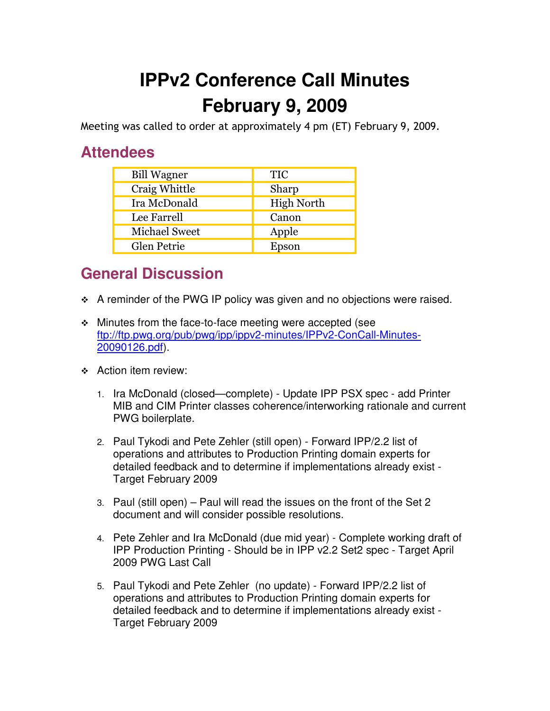## **IPPv2 Conference Call Minutes February 9, 2009**

Meeting was called to order at approximately 4 pm (ET) February 9, 2009.

## **Attendees**

| <b>Bill Wagner</b>   | <b>TIC</b>        |
|----------------------|-------------------|
| Craig Whittle        | Sharp             |
| Ira McDonald         | <b>High North</b> |
| Lee Farrell          | Canon             |
| <b>Michael Sweet</b> | Apple             |
| <b>Glen Petrie</b>   | Epson             |

## **General Discussion**

- \* A reminder of the PWG IP policy was given and no objections were raised.
- Minutes from the face-to-face meeting were accepted (see ftp://ftp.pwg.org/pub/pwg/ipp/ippv2-minutes/IPPv2-ConCall-Minutes-20090126.pdf).
- Action item review:
	- 1. Ira McDonald (closed—complete) Update IPP PSX spec add Printer MIB and CIM Printer classes coherence/interworking rationale and current PWG boilerplate.
	- 2. Paul Tykodi and Pete Zehler (still open) Forward IPP/2.2 list of operations and attributes to Production Printing domain experts for detailed feedback and to determine if implementations already exist - Target February 2009
	- 3. Paul (still open) Paul will read the issues on the front of the Set 2 document and will consider possible resolutions.
	- 4. Pete Zehler and Ira McDonald (due mid year) Complete working draft of IPP Production Printing - Should be in IPP v2.2 Set2 spec - Target April 2009 PWG Last Call
	- 5. Paul Tykodi and Pete Zehler (no update) Forward IPP/2.2 list of operations and attributes to Production Printing domain experts for detailed feedback and to determine if implementations already exist - Target February 2009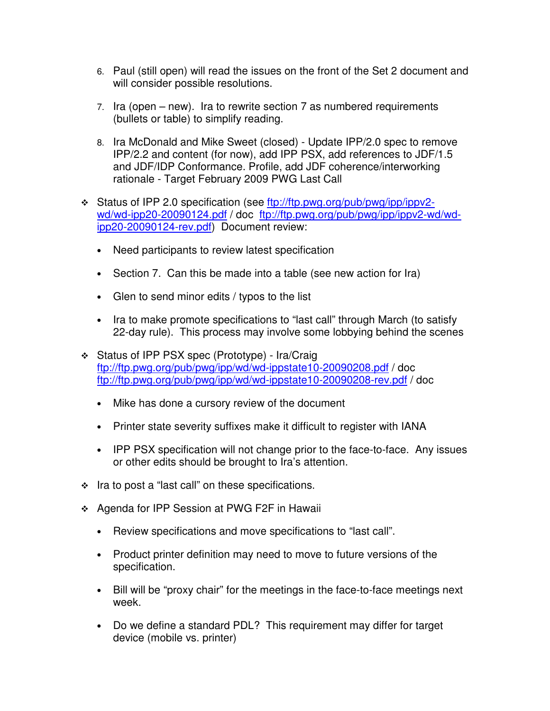- 6. Paul (still open) will read the issues on the front of the Set 2 document and will consider possible resolutions.
- 7. Ira (open new). Ira to rewrite section 7 as numbered requirements (bullets or table) to simplify reading.
- 8. Ira McDonald and Mike Sweet (closed) Update IPP/2.0 spec to remove IPP/2.2 and content (for now), add IPP PSX, add references to JDF/1.5 and JDF/IDP Conformance. Profile, add JDF coherence/interworking rationale - Target February 2009 PWG Last Call
- Status of IPP 2.0 specification (see ftp://ftp.pwg.org/pub/pwg/ipp/ippv2 wd/wd-ipp20-20090124.pdf / doc ftp://ftp.pwg.org/pub/pwg/ipp/ippv2-wd/wdipp20-20090124-rev.pdf) Document review:
	- Need participants to review latest specification
	- Section 7. Can this be made into a table (see new action for Ira)
	- Glen to send minor edits / typos to the list
	- Ira to make promote specifications to "last call" through March (to satisfy 22-day rule). This process may involve some lobbying behind the scenes
- Status of IPP PSX spec (Prototype) Ira/Craig ftp://ftp.pwg.org/pub/pwg/ipp/wd/wd-ippstate10-20090208.pdf / doc ftp://ftp.pwg.org/pub/pwg/ipp/wd/wd-ippstate10-20090208-rev.pdf / doc
	- Mike has done a cursory review of the document
	- Printer state severity suffixes make it difficult to register with IANA
	- IPP PSX specification will not change prior to the face-to-face. Any issues or other edits should be brought to Ira's attention.
- $\cdot$  Ira to post a "last call" on these specifications.
- ❖ Agenda for IPP Session at PWG F2F in Hawaii
	- Review specifications and move specifications to "last call".
	- Product printer definition may need to move to future versions of the specification.
	- Bill will be "proxy chair" for the meetings in the face-to-face meetings next week.
	- Do we define a standard PDL? This requirement may differ for target device (mobile vs. printer)